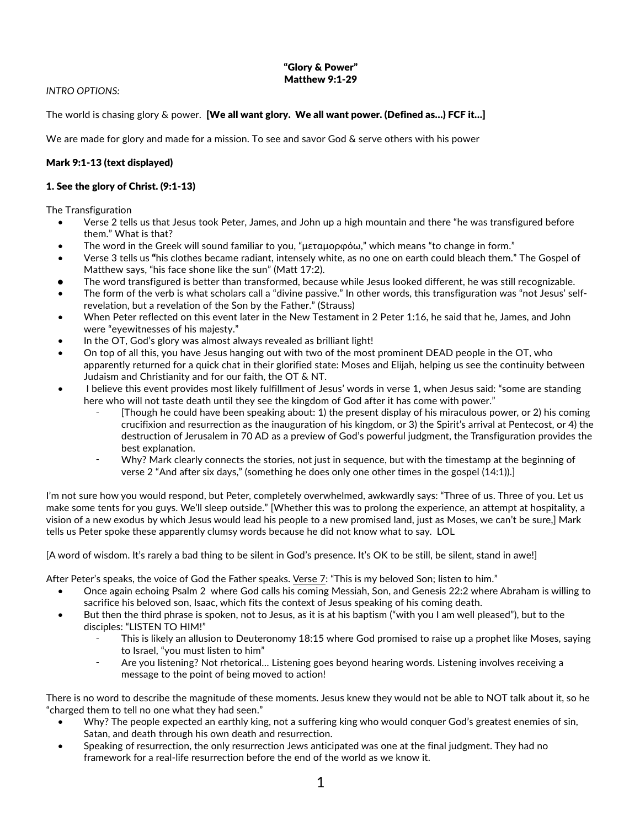## "Glory & Power" Matthew 9:1-29

## *INTRO OPTIONS:*

The world is chasing glory & power. [We all want glory. We all want power. (Defined as...) FCF it...]

We are made for glory and made for a mission. To see and savor God & serve others with his power

# Mark 9:1-13 (text displayed)

## 1. See the glory of Christ. (9:1-13)

The Transfiguration

- Verse 2 tells us that Jesus took Peter, James, and John up a high mountain and there "he was transfigured before them." What is that?
- The word in the Greek will sound familiar to you, "μεταμορφόω," which means "to change in form."
- Verse 3 tells us "his clothes became radiant, intensely white, as no one on earth could bleach them." The Gospel of Matthew says, "his face shone like the sun" (Matt 17:2).
- The word transfigured is better than transformed, because while Jesus looked different, he was still recognizable.
- The form of the verb is what scholars call a "divine passive." In other words, this transfiguration was "not Jesus' selfrevelation, but a revelation of the Son by the Father." (Strauss)
- When Peter reflected on this event later in the New Testament in 2 Peter 1:16, he said that he, James, and John were "eyewitnesses of his majesty."
- In the OT, God's glory was almost always revealed as brilliant light!
- On top of all this, you have Jesus hanging out with two of the most prominent DEAD people in the OT, who apparently returned for a quick chat in their glorified state: Moses and Elijah, helping us see the continuity between Judaism and Christianity and for our faith, the OT & NT.
- I believe this event provides most likely fulfillment of Jesus' words in verse 1, when Jesus said: "some are standing here who will not taste death until they see the kingdom of God after it has come with power."
	- ⁃ [Though he could have been speaking about: 1) the present display of his miraculous power, or 2) his coming crucifixion and resurrection as the inauguration of his kingdom, or 3) the Spirit's arrival at Pentecost, or 4) the destruction of Jerusalem in 70 AD as a preview of God's powerful judgment, the Transfiguration provides the best explanation.
	- Why? Mark clearly connects the stories, not just in sequence, but with the timestamp at the beginning of verse 2 "And after six days," (something he does only one other times in the gospel (14:1)).]

I'm not sure how you would respond, but Peter, completely overwhelmed, awkwardly says: "Three of us. Three of you. Let us make some tents for you guys. We'll sleep outside." [Whether this was to prolong the experience, an attempt at hospitality, a vision of a new exodus by which Jesus would lead his people to a new promised land, just as Moses, we can't be sure,] Mark tells us Peter spoke these apparently clumsy words because he did not know what to say. LOL

[A word of wisdom. It's rarely a bad thing to be silent in God's presence. It's OK to be still, be silent, stand in awe!]

After Peter's speaks, the voice of God the Father speaks. Verse 7: "This is my beloved Son; listen to him."

- Once again echoing Psalm 2 where God calls his coming Messiah, Son, and Genesis 22:2 where Abraham is willing to sacrifice his beloved son, Isaac, which fits the context of Jesus speaking of his coming death.
- But then the third phrase is spoken, not to Jesus, as it is at his baptism ("with you I am well pleased"), but to the disciples: "LISTEN TO HIM!"
	- This is likely an allusion to Deuteronomy 18:15 where God promised to raise up a prophet like Moses, saying to Israel, "you must listen to him"
	- Are you listening? Not rhetorical... Listening goes beyond hearing words. Listening involves receiving a message to the point of being moved to action!

There is no word to describe the magnitude of these moments. Jesus knew they would not be able to NOT talk about it, so he "charged them to tell no one what they had seen."

- Why? The people expected an earthly king, not a suffering king who would conquer God's greatest enemies of sin, Satan, and death through his own death and resurrection.
- Speaking of resurrection, the only resurrection Jews anticipated was one at the final judgment. They had no framework for a real-life resurrection before the end of the world as we know it.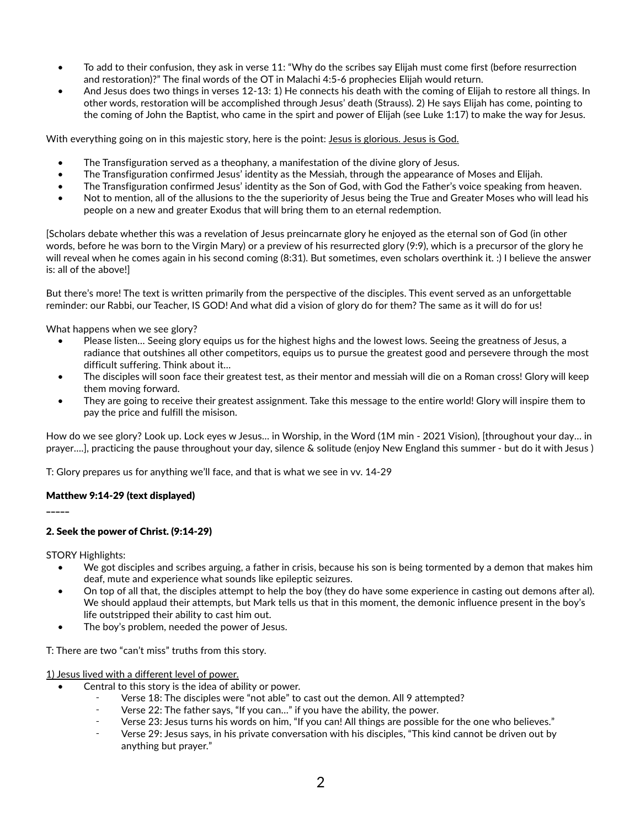- To add to their confusion, they ask in verse 11: "Why do the scribes say Elijah must come first (before resurrection and restoration)?" The final words of the OT in Malachi 4:5-6 prophecies Elijah would return.
- And Jesus does two things in verses 12-13: 1) He connects his death with the coming of Elijah to restore all things. In other words, restoration will be accomplished through Jesus' death (Strauss). 2) He says Elijah has come, pointing to the coming of John the Baptist, who came in the spirt and power of Elijah (see Luke 1:17) to make the way for Jesus.

With everything going on in this majestic story, here is the point: Jesus is glorious. Jesus is God.

- The Transfiguration served as a theophany, a manifestation of the divine glory of Jesus.
- The Transfiguration confirmed Jesus' identity as the Messiah, through the appearance of Moses and Elijah.
- The Transfiguration confirmed Jesus' identity as the Son of God, with God the Father's voice speaking from heaven.
- Not to mention, all of the allusions to the the superiority of Jesus being the True and Greater Moses who will lead his people on a new and greater Exodus that will bring them to an eternal redemption.

[Scholars debate whether this was a revelation of Jesus preincarnate glory he enjoyed as the eternal son of God (in other words, before he was born to the Virgin Mary) or a preview of his resurrected glory (9:9), which is a precursor of the glory he will reveal when he comes again in his second coming (8:31). But sometimes, even scholars overthink it. :) I believe the answer is: all of the above!]

But there's more! The text is written primarily from the perspective of the disciples. This event served as an unforgettable reminder: our Rabbi, our Teacher, IS GOD! And what did a vision of glory do for them? The same as it will do for us!

What happens when we see glory?

- Please listen… Seeing glory equips us for the highest highs and the lowest lows. Seeing the greatness of Jesus, a radiance that outshines all other competitors, equips us to pursue the greatest good and persevere through the most difficult suffering. Think about it…
- The disciples will soon face their greatest test, as their mentor and messiah will die on a Roman cross! Glory will keep them moving forward.
- They are going to receive their greatest assignment. Take this message to the entire world! Glory will inspire them to pay the price and fulfill the misison.

How do we see glory? Look up. Lock eyes w Jesus… in Worship, in the Word (1M min - 2021 Vision), [throughout your day… in prayer….], practicing the pause throughout your day, silence & solitude (enjoy New England this summer - but do it with Jesus )

T: Glory prepares us for anything we'll face, and that is what we see in vv. 14-29

## Matthew 9:14-29 (text displayed)

\_\_\_\_\_

# 2. Seek the power of Christ. (9:14-29)

STORY Highlights:

- We got disciples and scribes arguing, a father in crisis, because his son is being tormented by a demon that makes him deaf, mute and experience what sounds like epileptic seizures.
- On top of all that, the disciples attempt to help the boy (they do have some experience in casting out demons after al). We should applaud their attempts, but Mark tells us that in this moment, the demonic influence present in the boy's life outstripped their ability to cast him out.
- The boy's problem, needed the power of Jesus.

T: There are two "can't miss" truths from this story.

1) Jesus lived with a different level of power.

- Central to this story is the idea of ability or power.
	- Verse 18: The disciples were "not able" to cast out the demon. All 9 attempted?
	- ⁃ Verse 22: The father says, "If you can…" if you have the ability, the power.
	- ⁃ Verse 23: Jesus turns his words on him, "If you can! All things are possible for the one who believes."
	- Verse 29: Jesus says, in his private conversation with his disciples, "This kind cannot be driven out by anything but prayer."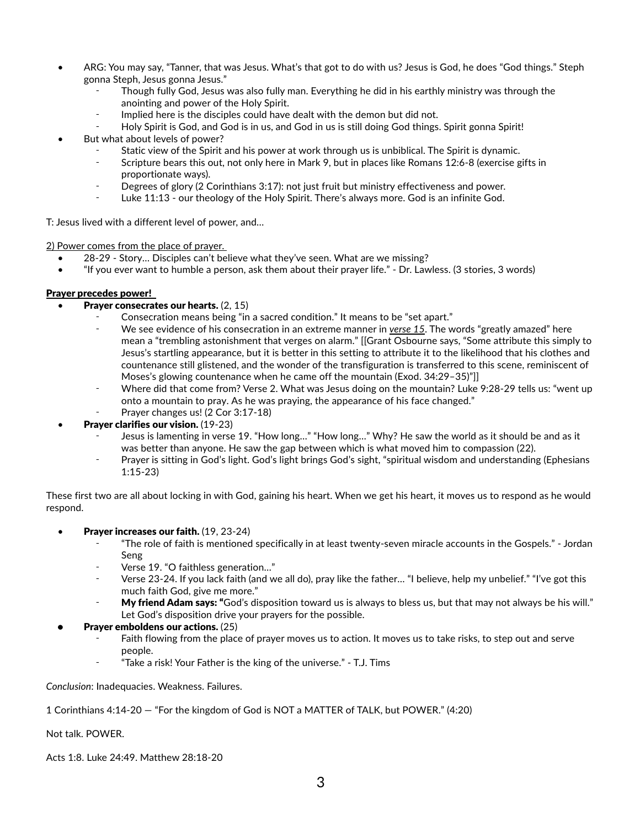- ARG: You may say, "Tanner, that was Jesus. What's that got to do with us? Jesus is God, he does "God things." Steph gonna Steph, Jesus gonna Jesus."
	- Though fully God, Jesus was also fully man. Everything he did in his earthly ministry was through the anointing and power of the Holy Spirit.
	- Implied here is the disciples could have dealt with the demon but did not.
	- Holy Spirit is God, and God is in us, and God in us is still doing God things. Spirit gonna Spirit!
- But what about levels of power?
	- Static view of the Spirit and his power at work through us is unbiblical. The Spirit is dynamic.
	- Scripture bears this out, not only here in Mark 9, but in places like Romans 12:6-8 (exercise gifts in proportionate ways).
	- ⁃ Degrees of glory (2 Corinthians 3:17): not just fruit but ministry effectiveness and power.
	- ⁃ Luke 11:13 our theology of the Holy Spirit. There's always more. God is an infinite God.

T: Jesus lived with a different level of power, and…

2) Power comes from the place of prayer.

- 28-29 Story… Disciples can't believe what they've seen. What are we missing?
- "If you ever want to humble a person, ask them about their prayer life." Dr. Lawless. (3 stories, 3 words)

## Prayer precedes power!

- Prayer consecrates our hearts. (2, 15)
	- Consecration means being "in a sacred condition." It means to be "set apart."
		- We see evidence of his consecration in an extreme manner in *verse 15*. The words "greatly amazed" here mean a "trembling astonishment that verges on alarm." [[Grant Osbourne says, "Some attribute this simply to Jesus's startling appearance, but it is better in this setting to attribute it to the likelihood that his clothes and countenance still glistened, and the wonder of the transfiguration is transferred to this scene, reminiscent of Moses's glowing countenance when he came off the mountain (Exod. 34:29–35)"]]
		- Where did that come from? Verse 2. What was Jesus doing on the mountain? Luke 9:28-29 tells us: "went up onto a mountain to pray. As he was praying, the appearance of his face changed."
		- Prayer changes us! (2 Cor 3:17-18)
- Prayer clarifies our vision. (19-23)
	- Jesus is lamenting in verse 19. "How long..." "How long..." Why? He saw the world as it should be and as it was better than anyone. He saw the gap between which is what moved him to compassion (22).
	- Prayer is sitting in God's light. God's light brings God's sight, "spiritual wisdom and understanding (Ephesians 1:15-23)

These first two are all about locking in with God, gaining his heart. When we get his heart, it moves us to respond as he would respond.

- **Prayer increases our faith.** (19, 23-24)
	- ⁃ "The role of faith is mentioned specifically in at least twenty-seven miracle accounts in the Gospels." Jordan Seng
	- ⁃ Verse 19. "O faithless generation…"
	- Verse 23-24. If you lack faith (and we all do), pray like the father... "I believe, help my unbelief." "I've got this much faith God, give me more."
	- My friend Adam says: "God's disposition toward us is always to bless us, but that may not always be his will." Let God's disposition drive your prayers for the possible.
- Prayer emboldens our actions. (25)
	- Faith flowing from the place of prayer moves us to action. It moves us to take risks, to step out and serve people.
	- ⁃ "Take a risk! Your Father is the king of the universe." T.J. Tims

*Conclusion*: Inadequacies. Weakness. Failures.

1 Corinthians 4:14-20 — "For the kingdom of God is NOT a MATTER of TALK, but POWER." (4:20)

Not talk. POWER.

Acts 1:8. Luke 24:49. Matthew 28:18-20